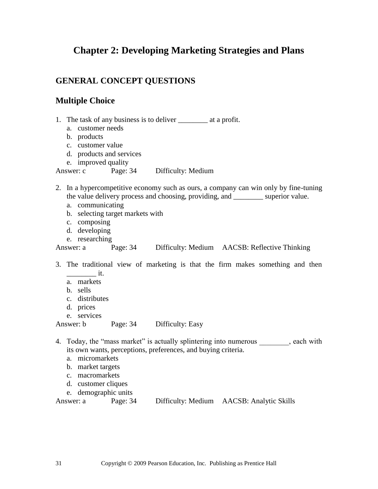# **Chapter 2: Developing Marketing Strategies and Plans**

# **GENERAL CONCEPT QUESTIONS**

## **Multiple Choice**

- 1. The task of any business is to deliver \_\_\_\_\_\_\_\_ at a profit.
	- a. customer needs
	- b. products
	- c. customer value
	- d. products and services
	- e. improved quality

#### Answer: c Page: 34 Difficulty: Medium

- 2. In a hypercompetitive economy such as ours, a company can win only by fine-tuning the value delivery process and choosing, providing, and \_\_\_\_\_\_\_\_ superior value.
	- a. communicating
	- b. selecting target markets with
	- c. composing
	- d. developing
	- e. researching

Answer: a Page: 34 Difficulty: Medium AACSB: Reflective Thinking

- 3. The traditional view of marketing is that the firm makes something and then  $\sim$  it.
	- a. markets
	- b. sells
	- c. distributes
	- d. prices
	- e. services

Answer: b Page: 34 Difficulty: Easy

4. Today, the "mass market" is actually splintering into numerous each with its own wants, perceptions, preferences, and buying criteria.

- a. micromarkets
- b. market targets
- c. macromarkets
- d. customer cliques
- e. demographic units

| Answer: a | Page: 34 | Difficulty: Medium | <b>AACSB: Analytic Skills</b> |
|-----------|----------|--------------------|-------------------------------|
|           |          |                    |                               |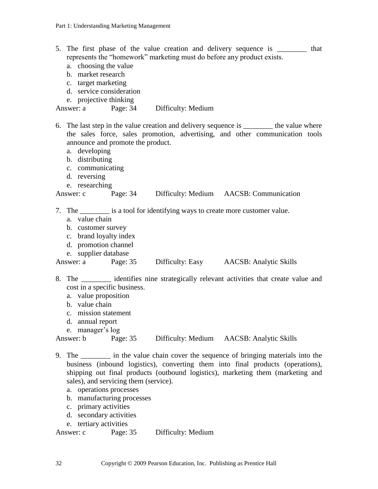- 5. The first phase of the value creation and delivery sequence is \_\_\_\_\_\_\_\_ that represents the "homework" marketing must do before any product exists.
	- a. choosing the value
	- b. market research
	- c. target marketing
	- d. service consideration
	- e. projective thinking

#### Answer: a Page: 34 Difficulty: Medium

- 6. The last step in the value creation and delivery sequence is \_\_\_\_\_\_\_\_ the value where the sales force, sales promotion, advertising, and other communication tools announce and promote the product.
	- a. developing
	- b. distributing
	- c. communicating
	- d. reversing
	- e. researching

### Answer: c Page: 34 Difficulty: Medium AACSB: Communication

7. The \_\_\_\_\_\_\_\_ is a tool for identifying ways to create more customer value.

- a. value chain
- b. customer survey
- c. brand loyalty index
- d. promotion channel
- e. supplier database

Answer: a Page: 35 Difficulty: Easy AACSB: Analytic Skills

- 8. The identifies nine strategically relevant activities that create value and cost in a specific business.
	- a. value proposition
	- b. value chain
	- c. mission statement
	- d. annual report
	- e. manager's log

#### Answer: b Page: 35 Difficulty: Medium AACSB: Analytic Skills

- 9. The \_\_\_\_\_\_\_\_ in the value chain cover the sequence of bringing materials into the business (inbound logistics), converting them into final products (operations), shipping out final products (outbound logistics), marketing them (marketing and sales), and servicing them (service).
	- a. operations processes
	- b. manufacturing processes
	- c. primary activities
	- d. secondary activities
	- e. tertiary activities

Answer: c Page: 35 Difficulty: Medium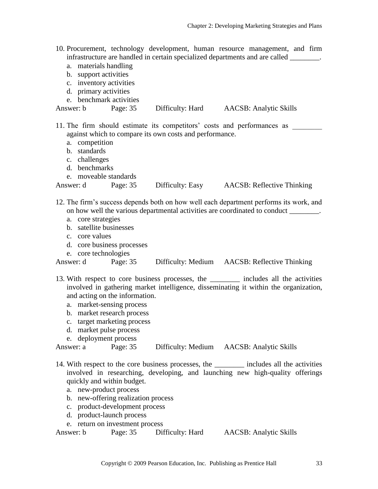| 10. Procurement, technology development, human resource management, and firm |                                                                              |  |  |  |
|------------------------------------------------------------------------------|------------------------------------------------------------------------------|--|--|--|
|                                                                              | infrastructure are handled in certain specialized departments and are called |  |  |  |

- a. materials handling
- b. support activities
- c. inventory activities
- d. primary activities
- e. benchmark activities

| Answer: b | Page: 35 | Difficulty: Hard | <b>AACSB</b> : Analytic Skills |
|-----------|----------|------------------|--------------------------------|
|           |          |                  |                                |

11. The firm should estimate its competitors' costs and performances as \_\_\_\_\_\_\_\_ against which to compare its own costs and performance.

- a. competition
- b. standards
- c. challenges
- d. benchmarks
- e. moveable standards

| Answer: d | Page: 35 | Difficulty: Easy | <b>AACSB:</b> Reflective Thinking |
|-----------|----------|------------------|-----------------------------------|
|           |          |                  |                                   |

- 12. The firm's success depends both on how well each department performs its work, and on how well the various departmental activities are coordinated to conduct *\_\_\_\_\_\_\_\_*.
	- a. core strategies
	- b. satellite businesses
	- c. core values
	- d. core business processes
	- e. core technologies

Answer: d Page: 35 Difficulty: Medium AACSB: Reflective Thinking

- 13. With respect to core business processes, the includes all the activities involved in gathering market intelligence, disseminating it within the organization, and acting on the information.
	- a. market-sensing process
	- b. market research process
	- c. target marketing process
	- d. market pulse process
	- e. deployment process

```
Answer: a Page: 35 Difficulty: Medium AACSB: Analytic Skills
```
- 14. With respect to the core business processes, the includes all the activities involved in researching, developing, and launching new high-quality offerings quickly and within budget.
	- a. new-product process
	- b. new-offering realization process
	- c. product-development process
	- d. product-launch process
	- e. return on investment process

Answer: b Page: 35 Difficulty: Hard AACSB: Analytic Skills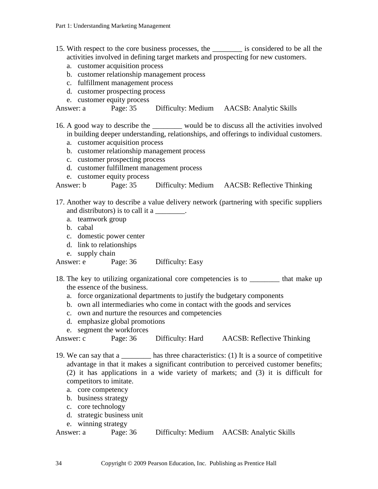- 15. With respect to the core business processes, the \_\_\_\_\_\_\_\_ is considered to be all the activities involved in defining target markets and prospecting for new customers.
	- a. customer acquisition process
	- b. customer relationship management process
	- c. fulfillment management process
	- d. customer prospecting process
	- e. customer equity process

Answer: a Page: 35 Difficulty: Medium AACSB: Analytic Skills

16. A good way to describe the \_\_\_\_\_\_\_\_ would be to discuss all the activities involved in building deeper understanding, relationships, and offerings to individual customers.

- a. customer acquisition process
- b. customer relationship management process
- c. customer prospecting process
- d. customer fulfillment management process
- e. customer equity process

Answer: b Page: 35 Difficulty: Medium AACSB: Reflective Thinking

- 17. Another way to describe a value delivery network (partnering with specific suppliers and distributors) is to call it a
	- a. teamwork group
	- b. cabal
	- c. domestic power center
	- d. link to relationships
	- e. supply chain

Answer: e Page: 36 Difficulty: Easy

- 18. The key to utilizing organizational core competencies is to \_\_\_\_\_\_\_\_ that make up the essence of the business.
	- a. force organizational departments to justify the budgetary components
	- b. own all intermediaries who come in contact with the goods and services
	- c. own and nurture the resources and competencies
	- d. emphasize global promotions
	- e. segment the workforces

Answer: c Page: 36 Difficulty: Hard AACSB: Reflective Thinking

19. We can say that a \_\_\_\_\_\_\_\_ has three characteristics: (1) It is a source of competitive advantage in that it makes a significant contribution to perceived customer benefits; (2) it has applications in a wide variety of markets; and (3) it is difficult for competitors to imitate.

- a. core competency
- b. business strategy
- c. core technology
- d. strategic business unit
- e. winning strategy

```
Answer: a Page: 36 Difficulty: Medium AACSB: Analytic Skills
```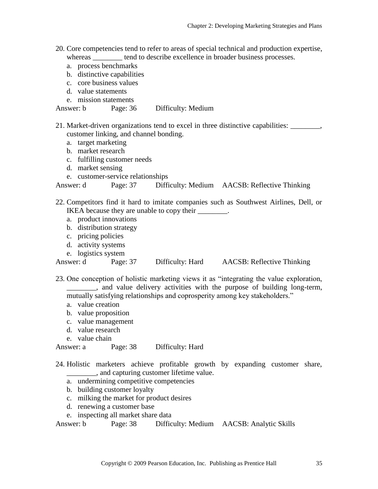- 20. Core competencies tend to refer to areas of special technical and production expertise, whereas tend to describe excellence in broader business processes.
	- a. process benchmarks
	- b. distinctive capabilities
	- c. core business values
	- d. value statements
	- e. mission statements

Answer: b Page: 36 Difficulty: Medium

21. Market-driven organizations tend to excel in three distinctive capabilities: \_\_\_\_\_\_\_\_, customer linking, and channel bonding.

- a. target marketing
- b. market research
- c. fulfilling customer needs
- d. market sensing
- e. customer-service relationships

Answer: d Page: 37 Difficulty: Medium AACSB: Reflective Thinking

- 22. Competitors find it hard to imitate companies such as Southwest Airlines, Dell, or IKEA because they are unable to copy their \_\_\_\_\_\_\_.
	- a. product innovations
	- b. distribution strategy
	- c. pricing policies
	- d. activity systems
	- e. logistics system

| Answer: d | Page: $37$ | Difficulty: Hard | <b>AACSB:</b> Reflective Thinking |
|-----------|------------|------------------|-----------------------------------|
|           |            |                  |                                   |

23. One conception of holistic marketing views it as "integrating the value exploration,  $\Box$ , and value delivery activities with the purpose of building long-term, mutually satisfying relationships and coprosperity among key stakeholders."

- a. value creation
- b. value proposition
- c. value management
- d. value research
- e. value chain

Answer: a Page: 38 Difficulty: Hard

- 24. Holistic marketers achieve profitable growth by expanding customer share, \_\_\_\_\_\_\_\_, and capturing customer lifetime value.
	- a. undermining competitive competencies
	- b. building customer loyalty
	- c. milking the market for product desires
	- d. renewing a customer base
	- e. inspecting all market share data

Answer: b Page: 38 Difficulty: Medium AACSB: Analytic Skills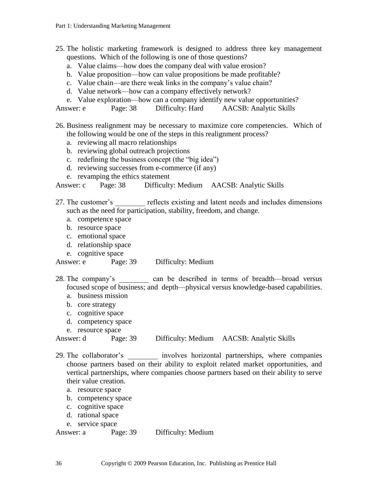25. The holistic marketing framework is designed to address three key management questions. Which of the following is one of those questions?

- a. Value claims—how does the company deal with value erosion?
- b. Value proposition—how can value propositions be made profitable?
- c. Value chain—are there weak links in the company's value chain?
- d. Value network—how can a company effectively network?
- e. Value exploration—how can a company identify new value opportunities?

Answer: e Page: 38 Difficulty: Hard AACSB: Analytic Skills

26. Business realignment may be necessary to maximize core competencies. Which of the following would be one of the steps in this realignment process?

- a. reviewing all macro relationships
- b. reviewing global outreach projections
- c. redefining the business concept (the "big idea")
- d. reviewing successes from e-commerce (if any)
- e. revamping the ethics statement

Answer: c Page: 38 Difficulty: Medium AACSB: Analytic Skills

27. The customer's reflects existing and latent needs and includes dimensions such as the need for participation, stability, freedom, and change.

- a. competence space
- b. resource space
- c. emotional space
- d. relationship space
- e. cognitive space

Answer: e Page: 39 Difficulty: Medium

28. The company's can be described in terms of breadth—broad versus focused scope of business; and depth—physical versus knowledge-based capabilities.

- a. business mission
- b. core strategy
- c. cognitive space
- d. competency space
- e. resource space

Answer: d Page: 39 Difficulty: Medium AACSB: Analytic Skills

29. The collaborator's \_\_\_\_\_\_\_\_ involves horizontal partnerships, where companies choose partners based on their ability to exploit related market opportunities, and vertical partnerships, where companies choose partners based on their ability to serve their value creation.

- a. resource space
- b. competency space
- c. cognitive space
- d. rational space
- e. service space

Answer: a Page: 39 Difficulty: Medium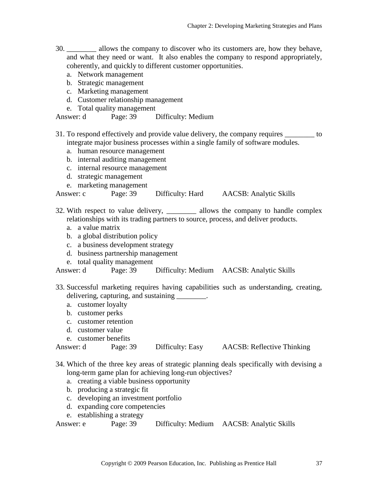- 30. *\_\_\_\_\_\_\_\_* allows the company to discover who its customers are, how they behave, and what they need or want. It also enables the company to respond appropriately, coherently, and quickly to different customer opportunities.
	- a. Network management
	- b. Strategic management
	- c. Marketing management
	- d. Customer relationship management
	- e. Total quality management

Answer: d Page: 39 Difficulty: Medium

- 31. To respond effectively and provide value delivery, the company requires \_\_\_\_\_\_\_\_ to integrate major business processes within a single family of software modules.
	- a. human resource management
	- b. internal auditing management
	- c. internal resource management
	- d. strategic management
	- e. marketing management

Answer: c Page: 39 Difficulty: Hard AACSB: Analytic Skills

- 32. With respect to value delivery, *\_\_\_\_\_\_\_\_* allows the company to handle complex relationships with its trading partners to source, process, and deliver products.
	- a. a value matrix
	- b. a global distribution policy
	- c. a business development strategy
	- d. business partnership management
	- e. total quality management

Answer: d Page: 39 Difficulty: Medium AACSB: Analytic Skills

- 33. Successful marketing requires having capabilities such as understanding, creating, delivering, capturing, and sustaining \_\_\_\_\_\_\_\_.
	- a. customer loyalty
	- b. customer perks
	- c. customer retention
	- d. customer value
	- e. customer benefits

```
Answer: d Page: 39 Difficulty: Easy AACSB: Reflective Thinking
```
- 34. Which of the three key areas of strategic planning deals specifically with devising a long-term game plan for achieving long-run objectives?
	- a. creating a viable business opportunity
	- b. producing a strategic fit
	- c. developing an investment portfolio
	- d. expanding core competencies
	- e. establishing a strategy

Answer: e Page: 39 Difficulty: Medium AACSB: Analytic Skills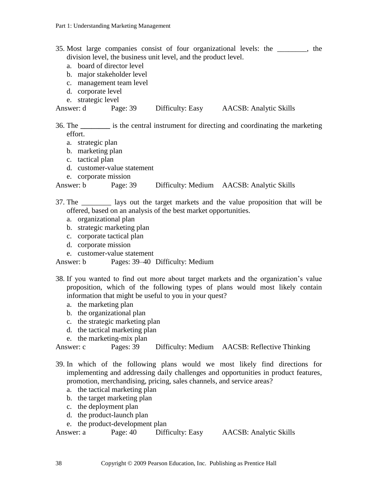#### 35. Most large companies consist of four organizational levels: the \_\_\_\_\_\_\_\_, the division level, the business unit level, and the product level.

- a. board of director level
- b. major stakeholder level
- c. management team level
- d. corporate level
- e. strategic level

Answer: d Page: 39 Difficulty: Easy AACSB: Analytic Skills

36. The **\_\_\_\_\_\_\_\_** is the central instrument for directing and coordinating the marketing effort.

- a. strategic plan
- b. marketing plan
- c. tactical plan
- d. customer-value statement
- e. corporate mission

Answer: b Page: 39 Difficulty: Medium AACSB: Analytic Skills

- 37. The \_\_\_\_\_\_\_\_ lays out the target markets and the value proposition that will be offered, based on an analysis of the best market opportunities.
	- a. organizational plan
	- b. strategic marketing plan
	- c. corporate tactical plan
	- d. corporate mission
	- e. customer-value statement

Answer: b Pages: 39–40 Difficulty: Medium

- 38. If you wanted to find out more about target markets and the organization's value proposition, which of the following types of plans would most likely contain information that might be useful to you in your quest?
	- a. the marketing plan
	- b. the organizational plan
	- c. the strategic marketing plan
	- d. the tactical marketing plan
	- e. the marketing-mix plan

Answer: c Pages: 39 Difficulty: Medium AACSB: Reflective Thinking

- 39. In which of the following plans would we most likely find directions for implementing and addressing daily challenges and opportunities in product features, promotion, merchandising, pricing, sales channels, and service areas?
	- a. the tactical marketing plan
	- b. the target marketing plan
	- c. the deployment plan
	- d. the product-launch plan
	- e. the product-development plan

Answer: a Page: 40 Difficulty: Easy AACSB: Analytic Skills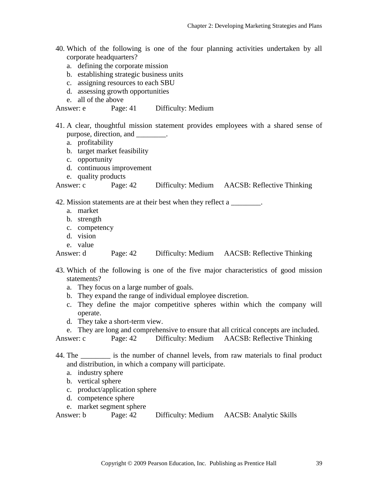- 40. Which of the following is one of the four planning activities undertaken by all corporate headquarters?
	- a. defining the corporate mission
	- b. establishing strategic business units
	- c. assigning resources to each SBU
	- d. assessing growth opportunities
	- e. all of the above

Answer: e Page: 41 Difficulty: Medium

- 41. A clear, thoughtful mission statement provides employees with a shared sense of purpose, direction, and  $\qquad \qquad$ .
	- a. profitability
	- b. target market feasibility
	- c. opportunity
	- d. continuous improvement
	- e. quality products

|  | Answer: c | Page: $42$ | Difficulty: Medium | <b>AACSB: Reflective Thinking</b> |
|--|-----------|------------|--------------------|-----------------------------------|
|--|-----------|------------|--------------------|-----------------------------------|

42. Mission statements are at their best when they reflect a \_\_\_\_\_\_\_.

- a. market
- b. strength
- c. competency
- d. vision
- e. value

Answer: d Page: 42 Difficulty: Medium AACSB: Reflective Thinking

- 43. Which of the following is one of the five major characteristics of good mission statements?
	- a. They focus on a large number of goals.
	- b. They expand the range of individual employee discretion.
	- c. They define the major competitive spheres within which the company will operate.
	- d. They take a short-term view.

e. They are long and comprehensive to ensure that all critical concepts are included.

Answer: c Page: 42 Difficulty: Medium AACSB: Reflective Thinking

44. The \_\_\_\_\_\_\_\_ is the number of channel levels, from raw materials to final product and distribution, in which a company will participate.

- a. industry sphere
- b. vertical sphere
- c. product/application sphere
- d. competence sphere
- e. market segment sphere

Answer: b Page: 42 Difficulty: Medium AACSB: Analytic Skills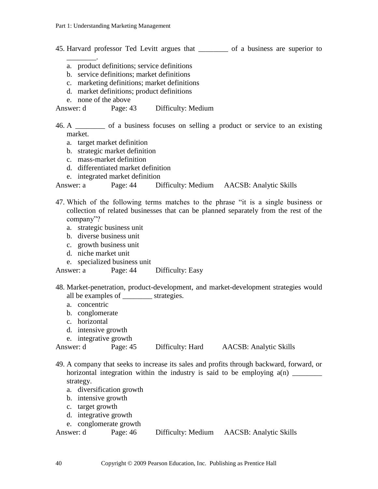- 45. Harvard professor Ted Levitt argues that \_\_\_\_\_\_\_\_ of a business are superior to
	- a. product definitions; service definitions
	- b. service definitions; market definitions
	- c. marketing definitions; market definitions
	- d. market definitions; product definitions
	- e. none of the above

\_\_\_\_\_\_\_\_.

Answer: d Page: 43 Difficulty: Medium

46. A \_\_\_\_\_\_\_\_ of a business focuses on selling a product or service to an existing market.

- a. target market definition
- b. strategic market definition
- c. mass-market definition
- d. differentiated market definition
- e. integrated market definition

Answer: a Page: 44 Difficulty: Medium AACSB: Analytic Skills

- 47. Which of the following terms matches to the phrase "it is a single business or collection of related businesses that can be planned separately from the rest of the company"?
	- a. strategic business unit
	- b. diverse business unit
	- c. growth business unit
	- d. niche market unit
	- e. specialized business unit

Answer: a Page: 44 Difficulty: Easy

- 48. Market-penetration, product-development, and market-development strategies would all be examples of strategies.
	- a. concentric
	- b. conglomerate
	- c. horizontal
	- d. intensive growth
	- e. integrative growth

Answer: d Page: 45 Difficulty: Hard AACSB: Analytic Skills

- 49. A company that seeks to increase its sales and profits through backward, forward, or horizontal integration within the industry is said to be employing  $a(n)$ strategy.
	- a. diversification growth
	- b. intensive growth
	- c. target growth
	- d. integrative growth
	- e. conglomerate growth

| Answer: d | Page: 46 | Difficulty: Medium | <b>AACSB</b> : Analytic Skills |
|-----------|----------|--------------------|--------------------------------|
|-----------|----------|--------------------|--------------------------------|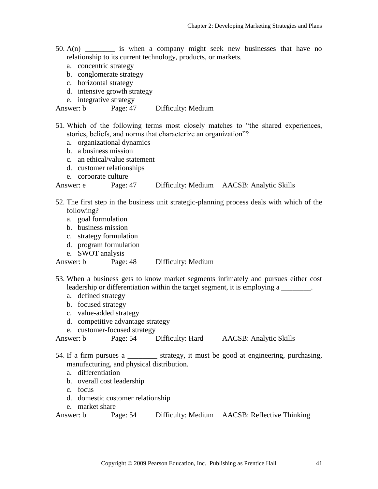- 50.  $A(n)$  is when a company might seek new businesses that have no relationship to its current technology, products, or markets.
	- a. concentric strategy
	- b. conglomerate strategy
	- c. horizontal strategy
	- d. intensive growth strategy

e. integrative strategy

Answer: b Page: 47 Difficulty: Medium

- 51. Which of the following terms most closely matches to "the shared experiences, stories, beliefs, and norms that characterize an organization"?
	- a. organizational dynamics
	- b. a business mission
	- c. an ethical/value statement
	- d. customer relationships
	- e. corporate culture

Answer: e Page: 47 Difficulty: Medium AACSB: Analytic Skills

- 52. The first step in the business unit strategic-planning process deals with which of the following?
	- a. goal formulation
	- b. business mission
	- c. strategy formulation
	- d. program formulation
	- e. SWOT analysis

Answer: b Page: 48 Difficulty: Medium

- 53. When a business gets to know market segments intimately and pursues either cost leadership or differentiation within the target segment, it is employing a
	- a. defined strategy
	- b. focused strategy
	- c. value-added strategy
	- d. competitive advantage strategy
	- e. customer-focused strategy

Answer: b Page: 54 Difficulty: Hard AACSB: Analytic Skills

- 54. If a firm pursues a \_\_\_\_\_\_\_\_ strategy, it must be good at engineering, purchasing, manufacturing, and physical distribution.
	- a. differentiation
	- b. overall cost leadership
	- c. focus
	- d. domestic customer relationship
	- e. market share

```
Answer: b Page: 54 Difficulty: Medium AACSB: Reflective Thinking
```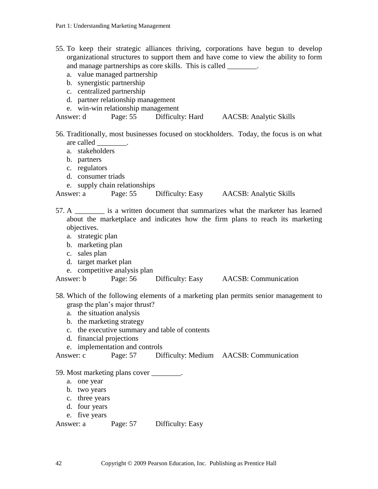| b. synergistic partnership<br>c. centralized partnership                                                                       | a. value managed partnership<br>d. partner relationship management<br>e. win-win relationship management | and manage partnerships as core skills. This is called ________. | 55. To keep their strategic alliances thriving, corporations have begun to develop<br>organizational structures to support them and have come to view the ability to form |
|--------------------------------------------------------------------------------------------------------------------------------|----------------------------------------------------------------------------------------------------------|------------------------------------------------------------------|---------------------------------------------------------------------------------------------------------------------------------------------------------------------------|
|                                                                                                                                |                                                                                                          |                                                                  | Answer: d Page: 55 Difficulty: Hard AACSB: Analytic Skills                                                                                                                |
| are called __________.<br>a. stakeholders<br>b. partners<br>c. regulators<br>d. consumer triads                                | e. supply chain relationships                                                                            |                                                                  | 56. Traditionally, most businesses focused on stockholders. Today, the focus is on what                                                                                   |
|                                                                                                                                |                                                                                                          |                                                                  | Answer: a Page: 55 Difficulty: Easy AACSB: Analytic Skills                                                                                                                |
| objectives.<br>a. strategic plan<br>b. marketing plan<br>c. sales plan<br>d. target market plan                                | e. competitive analysis plan                                                                             |                                                                  | 57. A _________ is a written document that summarizes what the marketer has learned<br>about the marketplace and indicates how the firm plans to reach its marketing      |
|                                                                                                                                |                                                                                                          |                                                                  | Answer: b Page: 56 Difficulty: Easy AACSB: Communication                                                                                                                  |
| a. the situation analysis<br>b. the marketing strategy<br>$\mathbf{c}$ .<br>d. financial projections<br>Answer: c              | grasp the plan's major thrust?<br>e. implementation and controls<br>Page: 57                             | the executive summary and table of contents                      | 58. Which of the following elements of a marketing plan permits senior management to<br>Difficulty: Medium AACSB: Communication                                           |
| 59. Most marketing plans cover ________.<br>one year<br>a.<br>b. two years<br>c. three years<br>d. four years<br>e. five years |                                                                                                          |                                                                  |                                                                                                                                                                           |
| Answer: a                                                                                                                      | Page: 57                                                                                                 | Difficulty: Easy                                                 |                                                                                                                                                                           |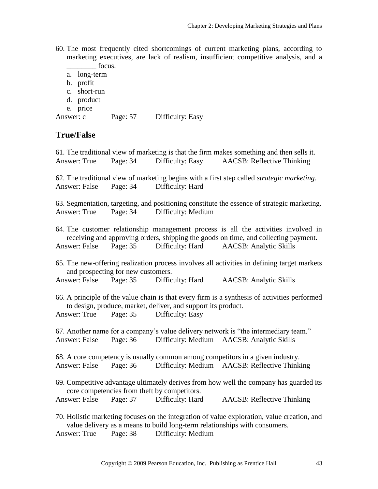- 60. The most frequently cited shortcomings of current marketing plans, according to marketing executives, are lack of realism, insufficient competitive analysis, and a focus.
	- a. long-term
	- b. profit
	- c. short-run
	- d. product
	- e. price

Answer: c Page: 57 Difficulty: Easy

### **True/False**

61. The traditional view of marketing is that the firm makes something and then sells it. Answer: True Page: 34 Difficulty: Easy AACSB: Reflective Thinking 62. The traditional view of marketing begins with a first step called *strategic marketing.* Answer: False Page: 34 Difficulty: Hard 63. Segmentation, targeting, and positioning constitute the essence of strategic marketing. Answer: True Page: 34 Difficulty: Medium 64. The customer relationship management process is all the activities involved in receiving and approving orders, shipping the goods on time, and collecting payment. Answer: False Page: 35 Difficulty: Hard AACSB: Analytic Skills 65. The new-offering realization process involves all activities in defining target markets and prospecting for new customers. Answer: False Page: 35 Difficulty: Hard AACSB: Analytic Skills 66. A principle of the value chain is that every firm is a synthesis of activities performed to design, produce, market, deliver, and support its product. Answer: True Page: 35 Difficulty: Easy 67. Another name for a company's value delivery network is "the intermediary team." Answer: False Page: 36 Difficulty: Medium AACSB: Analytic Skills 68. A core competency is usually common among competitors in a given industry. Answer: False Page: 36 Difficulty: Medium AACSB: Reflective Thinking 69. Competitive advantage ultimately derives from how well the company has guarded its core competencies from theft by competitors. Answer: False Page: 37 Difficulty: Hard AACSB: Reflective Thinking 70. Holistic marketing focuses on the integration of value exploration, value creation, and value delivery as a means to build long-term relationships with consumers.

Answer: True Page: 38 Difficulty: Medium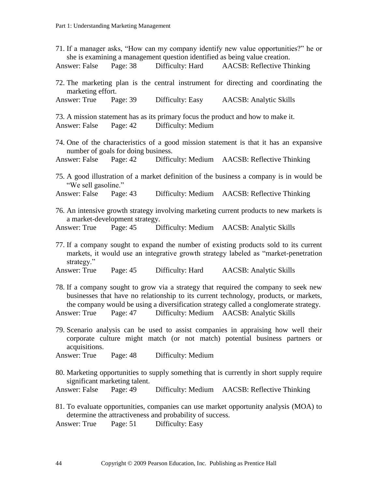|                                                                                                                                                                                                                                                                                                                                           |                                     |                                                                              | 71. If a manager asks, "How can my company identify new value opportunities?" he or<br>she is examining a management question identified as being value creation.            |  |  |
|-------------------------------------------------------------------------------------------------------------------------------------------------------------------------------------------------------------------------------------------------------------------------------------------------------------------------------------------|-------------------------------------|------------------------------------------------------------------------------|------------------------------------------------------------------------------------------------------------------------------------------------------------------------------|--|--|
| Answer: False Page: 38                                                                                                                                                                                                                                                                                                                    |                                     |                                                                              | Difficulty: Hard AACSB: Reflective Thinking                                                                                                                                  |  |  |
| marketing effort.                                                                                                                                                                                                                                                                                                                         |                                     |                                                                              | 72. The marketing plan is the central instrument for directing and coordinating the                                                                                          |  |  |
| Answer: True Page: 39                                                                                                                                                                                                                                                                                                                     |                                     | Difficulty: Easy                                                             | <b>AACSB</b> : Analytic Skills                                                                                                                                               |  |  |
|                                                                                                                                                                                                                                                                                                                                           |                                     | Answer: False Page: 42 Difficulty: Medium                                    | 73. A mission statement has as its primary focus the product and how to make it.                                                                                             |  |  |
|                                                                                                                                                                                                                                                                                                                                           | number of goals for doing business. |                                                                              | 74. One of the characteristics of a good mission statement is that it has an expansive                                                                                       |  |  |
|                                                                                                                                                                                                                                                                                                                                           |                                     |                                                                              | Answer: False Page: 42 Difficulty: Medium AACSB: Reflective Thinking                                                                                                         |  |  |
| "We sell gasoline."                                                                                                                                                                                                                                                                                                                       |                                     |                                                                              | 75. A good illustration of a market definition of the business a company is in would be                                                                                      |  |  |
| Answer: False Page: 43                                                                                                                                                                                                                                                                                                                    |                                     |                                                                              | Difficulty: Medium AACSB: Reflective Thinking                                                                                                                                |  |  |
|                                                                                                                                                                                                                                                                                                                                           | a market-development strategy.      |                                                                              | 76. An intensive growth strategy involving marketing current products to new markets is                                                                                      |  |  |
| Answer: True Page: 45                                                                                                                                                                                                                                                                                                                     |                                     |                                                                              | Difficulty: Medium AACSB: Analytic Skills                                                                                                                                    |  |  |
| strategy."                                                                                                                                                                                                                                                                                                                                |                                     |                                                                              | 77. If a company sought to expand the number of existing products sold to its current<br>markets, it would use an integrative growth strategy labeled as "market-penetration |  |  |
| Answer: True                                                                                                                                                                                                                                                                                                                              | Page: $45$                          | Difficulty: Hard                                                             | <b>AACSB</b> : Analytic Skills                                                                                                                                               |  |  |
| 78. If a company sought to grow via a strategy that required the company to seek new<br>businesses that have no relationship to its current technology, products, or markets,<br>the company would be using a diversification strategy called a conglomerate strategy.<br>Answer: True Page: 47 Difficulty: Medium AACSB: Analytic Skills |                                     |                                                                              |                                                                                                                                                                              |  |  |
|                                                                                                                                                                                                                                                                                                                                           |                                     |                                                                              |                                                                                                                                                                              |  |  |
| acquisitions.                                                                                                                                                                                                                                                                                                                             |                                     |                                                                              | 79. Scenario analysis can be used to assist companies in appraising how well their<br>corporate culture might match (or not match) potential business partners or            |  |  |
| Answer: True                                                                                                                                                                                                                                                                                                                              | Page: $48$                          | Difficulty: Medium                                                           |                                                                                                                                                                              |  |  |
|                                                                                                                                                                                                                                                                                                                                           | significant marketing talent.       |                                                                              | 80. Marketing opportunities to supply something that is currently in short supply require                                                                                    |  |  |
| Answer: False                                                                                                                                                                                                                                                                                                                             | Page: 49                            |                                                                              | Difficulty: Medium AACSB: Reflective Thinking                                                                                                                                |  |  |
| Answer: True                                                                                                                                                                                                                                                                                                                              | Page: 51                            | determine the attractiveness and probability of success.<br>Difficulty: Easy | 81. To evaluate opportunities, companies can use market opportunity analysis (MOA) to                                                                                        |  |  |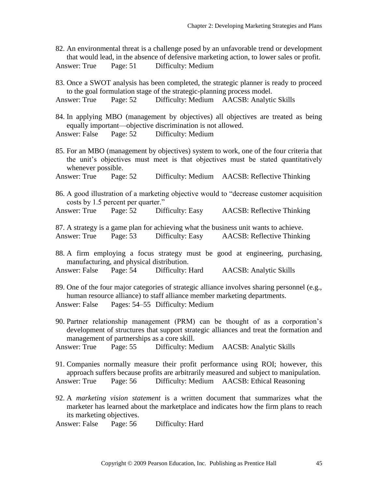82. An environmental threat is a challenge posed by an unfavorable trend or development that would lead, in the absence of defensive marketing action, to lower sales or profit. Answer: True Page: 51 Difficulty: Medium

83. Once a SWOT analysis has been completed, the strategic planner is ready to proceed to the goal formulation stage of the strategic-planning process model.

Answer: True Page: 52 Difficulty: Medium AACSB: Analytic Skills

84. In applying MBO (management by objectives) all objectives are treated as being equally important—objective discrimination is not allowed.

Answer: False Page: 52 Difficulty: Medium

85. For an MBO (management by objectives) system to work, one of the four criteria that the unit's objectives must meet is that objectives must be stated quantitatively whenever possible.

Answer: True Page: 52 Difficulty: Medium AACSB: Reflective Thinking

86. A good illustration of a marketing objective would to "decrease customer acquisition costs by 1.5 percent per quarter."

Answer: True Page: 52 Difficulty: Easy AACSB: Reflective Thinking

87. A strategy is a game plan for achieving what the business unit wants to achieve. Answer: True Page: 53 Difficulty: Easy AACSB: Reflective Thinking

88. A firm employing a focus strategy must be good at engineering, purchasing, manufacturing, and physical distribution.

Answer: False Page: 54 Difficulty: Hard AACSB: Analytic Skills

89. One of the four major categories of strategic alliance involves sharing personnel (e.g., human resource alliance) to staff alliance member marketing departments. Answer: False Pages: 54–55 Difficulty: Medium

90. Partner relationship management (PRM) can be thought of as a corporation's development of structures that support strategic alliances and treat the formation and management of partnerships as a core skill.

Answer: True Page: 55 Difficulty: Medium AACSB: Analytic Skills

91. Companies normally measure their profit performance using ROI; however, this approach suffers because profits are arbitrarily measured and subject to manipulation. Answer: True Page: 56 Difficulty: Medium AACSB: Ethical Reasoning

92. A *marketing vision statement* is a written document that summarizes what the marketer has learned about the marketplace and indicates how the firm plans to reach its marketing objectives.

Answer: False Page: 56 Difficulty: Hard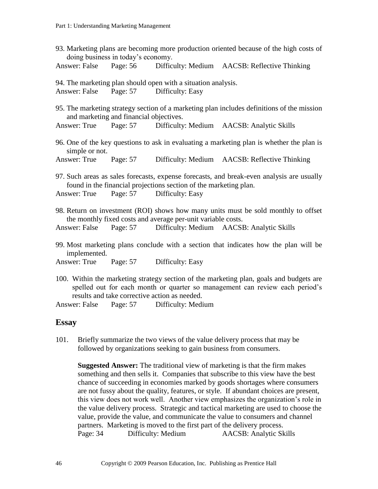| 93. Marketing plans are becoming more production oriented because of the high costs of<br>doing business in today's economy.                                                                             |                                         |                                                               |                                                                                            |  |  |
|----------------------------------------------------------------------------------------------------------------------------------------------------------------------------------------------------------|-----------------------------------------|---------------------------------------------------------------|--------------------------------------------------------------------------------------------|--|--|
|                                                                                                                                                                                                          |                                         |                                                               | Answer: False Page: 56 Difficulty: Medium AACSB: Reflective Thinking                       |  |  |
| Answer: False Page: 57 Difficulty: Easy                                                                                                                                                                  |                                         | 94. The marketing plan should open with a situation analysis. |                                                                                            |  |  |
|                                                                                                                                                                                                          | and marketing and financial objectives. |                                                               | 95. The marketing strategy section of a marketing plan includes definitions of the mission |  |  |
|                                                                                                                                                                                                          |                                         |                                                               | Answer: True Page: 57 Difficulty: Medium AACSB: Analytic Skills                            |  |  |
| simple or not.                                                                                                                                                                                           |                                         |                                                               | 96. One of the key questions to ask in evaluating a marketing plan is whether the plan is  |  |  |
|                                                                                                                                                                                                          |                                         |                                                               | Answer: True Page: 57 Difficulty: Medium AACSB: Reflective Thinking                        |  |  |
| 97. Such areas as sales forecasts, expense forecasts, and break-even analysis are usually<br>found in the financial projections section of the marketing plan.<br>Answer: True Page: 57 Difficulty: Easy |                                         |                                                               |                                                                                            |  |  |
|                                                                                                                                                                                                          |                                         | the monthly fixed costs and average per-unit variable costs.  | 98. Return on investment (ROI) shows how many units must be sold monthly to offset         |  |  |
|                                                                                                                                                                                                          |                                         |                                                               | Answer: False Page: 57 Difficulty: Medium AACSB: Analytic Skills                           |  |  |
| implemented.                                                                                                                                                                                             |                                         |                                                               | 99. Most marketing plans conclude with a section that indicates how the plan will be       |  |  |

Answer: True Page: 57 Difficulty: Easy

100. Within the marketing strategy section of the marketing plan, goals and budgets are spelled out for each month or quarter so management can review each period's results and take corrective action as needed.

Answer: False Page: 57 Difficulty: Medium

## **Essay**

101. Briefly summarize the two views of the value delivery process that may be followed by organizations seeking to gain business from consumers.

**Suggested Answer:** The traditional view of marketing is that the firm makes something and then sells it. Companies that subscribe to this view have the best chance of succeeding in economies marked by goods shortages where consumers are not fussy about the quality, features, or style. If abundant choices are present, this view does not work well. Another view emphasizes the organization's role in the value delivery process. Strategic and tactical marketing are used to choose the value, provide the value, and communicate the value to consumers and channel partners. Marketing is moved to the first part of the delivery process. Page: 34 Difficulty: Medium AACSB: Analytic Skills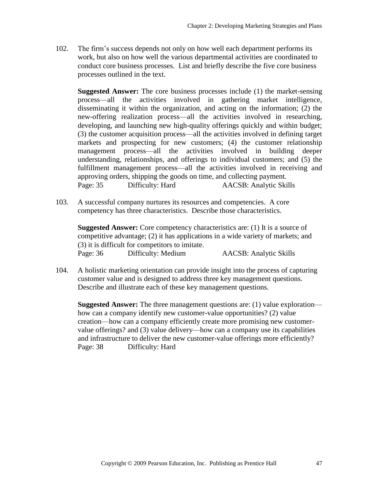102. The firm's success depends not only on how well each department performs its work, but also on how well the various departmental activities are coordinated to conduct core business processes. List and briefly describe the five core business processes outlined in the text.

**Suggested Answer:** The core business processes include (1) the market-sensing process—all the activities involved in gathering market intelligence, disseminating it within the organization, and acting on the information; (2) the new-offering realization process—all the activities involved in researching, developing, and launching new high-quality offerings quickly and within budget; (3) the customer acquisition process—all the activities involved in defining target markets and prospecting for new customers; (4) the customer relationship management process—all the activities involved in building deeper understanding, relationships, and offerings to individual customers; and (5) the fulfillment management process—all the activities involved in receiving and approving orders, shipping the goods on time, and collecting payment. Page: 35 Difficulty: Hard AACSB: Analytic Skills

103. A successful company nurtures its resources and competencies. A core competency has three characteristics. Describe those characteristics.

**Suggested Answer:** Core competency characteristics are: (1) It is a source of competitive advantage; (2) it has applications in a wide variety of markets; and (3) it is difficult for competitors to imitate. Page: 36 Difficulty: Medium AACSB: Analytic Skills

104. A holistic marketing orientation can provide insight into the process of capturing customer value and is designed to address three key management questions. Describe and illustrate each of these key management questions.

**Suggested Answer:** The three management questions are: (1) value exploration how can a company identify new customer-value opportunities? (2) value creation—how can a company efficiently create more promising new customervalue offerings? and (3) value delivery—how can a company use its capabilities and infrastructure to deliver the new customer-value offerings more efficiently? Page: 38 Difficulty: Hard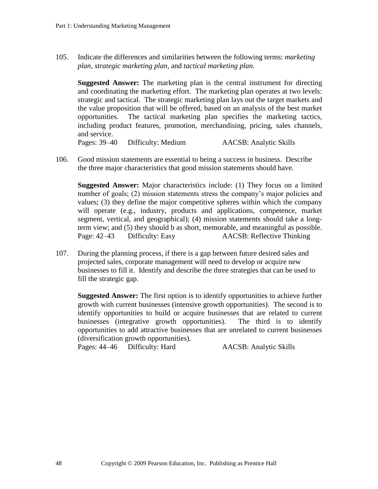105. Indicate the differences and similarities between the following terms: *marketing plan, strategic marketing plan,* and *tactical marketing plan.* 

**Suggested Answer:** The marketing plan is the central instrument for directing and coordinating the marketing effort. The marketing plan operates at two levels: strategic and tactical. The strategic marketing plan lays out the target markets and the value proposition that will be offered, based on an analysis of the best market opportunities. The tactical marketing plan specifies the marketing tactics, including product features, promotion, merchandising, pricing, sales channels, and service.

Pages: 39–40 Difficulty: Medium AACSB: Analytic Skills

106. Good mission statements are essential to being a success in business. Describe the three major characteristics that good mission statements should have.

**Suggested Answer:** Major characteristics include: (1) They focus on a limited number of goals; (2) mission statements stress the company's major policies and values; (3) they define the major competitive spheres within which the company will operate (e.g., industry, products and applications, competence, market segment, vertical, and geographical); (4) mission statements should take a longterm view; and (5) they should b as short, memorable, and meaningful as possible. Page: 42–43 Difficulty: Easy AACSB: Reflective Thinking

107. During the planning process, if there is a gap between future desired sales and projected sales, corporate management will need to develop or acquire new businesses to fill it. Identify and describe the three strategies that can be used to fill the strategic gap.

**Suggested Answer:** The first option is to identify opportunities to achieve further growth with current businesses (intensive growth opportunities). The second is to identify opportunities to build or acquire businesses that are related to current businesses (integrative growth opportunities). The third is to identify opportunities to add attractive businesses that are unrelated to current businesses (diversification growth opportunities).

Pages: 44–46 Difficulty: Hard AACSB: Analytic Skills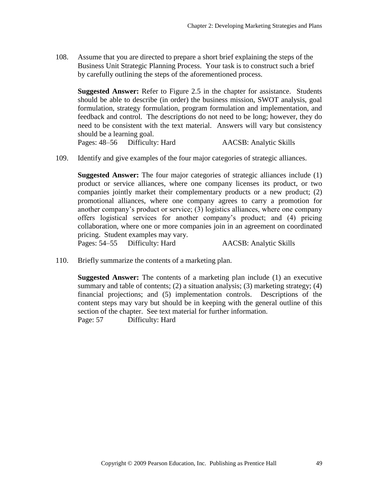108. Assume that you are directed to prepare a short brief explaining the steps of the Business Unit Strategic Planning Process. Your task is to construct such a brief by carefully outlining the steps of the aforementioned process.

**Suggested Answer:** Refer to Figure 2.5 in the chapter for assistance. Students should be able to describe (in order) the business mission, SWOT analysis, goal formulation, strategy formulation, program formulation and implementation, and feedback and control. The descriptions do not need to be long; however, they do need to be consistent with the text material. Answers will vary but consistency should be a learning goal.

Pages: 48–56 Difficulty: Hard AACSB: Analytic Skills

109. Identify and give examples of the four major categories of strategic alliances.

**Suggested Answer:** The four major categories of strategic alliances include (1) product or service alliances, where one company licenses its product, or two companies jointly market their complementary products or a new product; (2) promotional alliances, where one company agrees to carry a promotion for another company's product or service; (3) logistics alliances, where one company offers logistical services for another company's product; and (4) pricing collaboration, where one or more companies join in an agreement on coordinated pricing. Student examples may vary. Pages: 54–55 Difficulty: Hard AACSB: Analytic Skills

110. Briefly summarize the contents of a marketing plan.

**Suggested Answer:** The contents of a marketing plan include (1) an executive summary and table of contents; (2) a situation analysis; (3) marketing strategy; (4) financial projections; and (5) implementation controls. Descriptions of the content steps may vary but should be in keeping with the general outline of this section of the chapter. See text material for further information. Page: 57 Difficulty: Hard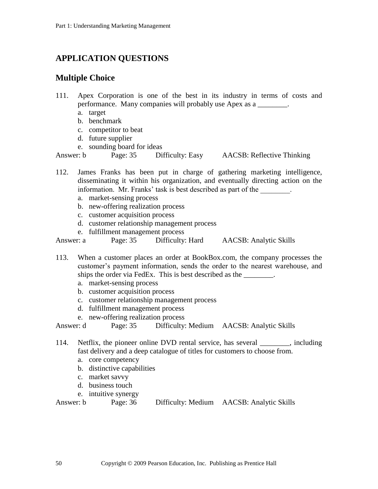# **APPLICATION QUESTIONS**

# **Multiple Choice**

- 111. Apex Corporation is one of the best in its industry in terms of costs and performance. Many companies will probably use Apex as a \_\_\_\_\_\_\_\_.
	- a. target
	- b. benchmark
	- c. competitor to beat
	- d. future supplier
	- e. sounding board for ideas

Answer: b Page: 35 Difficulty: Easy AACSB: Reflective Thinking

112. James Franks has been put in charge of gathering marketing intelligence, disseminating it within his organization, and eventually directing action on the information. Mr. Franks' task is best described as part of the \_\_\_\_\_\_\_\_.

- a. market-sensing process
- b. new-offering realization process
- c. customer acquisition process
- d. customer relationship management process
- e. fulfillment management process

Answer: a Page: 35 Difficulty: Hard AACSB: Analytic Skills

113. When a customer places an order at BookBox.com, the company processes the customer's payment information, sends the order to the nearest warehouse, and ships the order via FedEx. This is best described as the \_\_\_\_\_\_\_\_.

- a. market-sensing process
- b. customer acquisition process
- c. customer relationship management process
- d. fulfillment management process
- e. new-offering realization process

Answer: d Page: 35 Difficulty: Medium AACSB: Analytic Skills

114. Netflix, the pioneer online DVD rental service, has several \_\_\_\_\_\_\_\_, including fast delivery and a deep catalogue of titles for customers to choose from.

- a. core competency
- b. distinctive capabilities
- c. market savvy
- d. business touch
- e. intuitive synergy

| Answer: b | Page: 36 | Difficulty: Medium | <b>AACSB</b> : Analytic Skills |
|-----------|----------|--------------------|--------------------------------|
|           |          |                    |                                |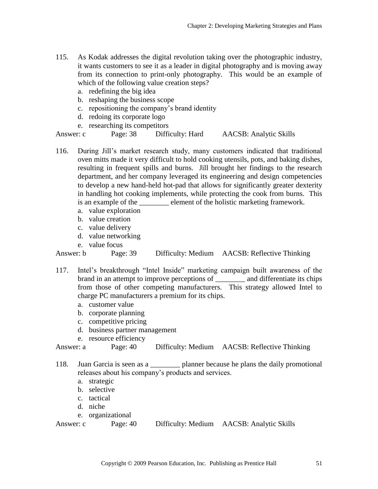- 115. As Kodak addresses the digital revolution taking over the photographic industry, it wants customers to see it as a leader in digital photography and is moving away from its connection to print-only photography. This would be an example of which of the following value creation steps?
	- a. redefining the big idea
	- b. reshaping the business scope
	- c. repositioning the company's brand identity
	- d. redoing its corporate logo
	- e. researching its competitors

Answer: c Page: 38 Difficulty: Hard AACSB: Analytic Skills

- 116. During Jill's market research study, many customers indicated that traditional oven mitts made it very difficult to hold cooking utensils, pots, and baking dishes, resulting in frequent spills and burns. Jill brought her findings to the research department, and her company leveraged its engineering and design competencies to develop a new hand-held hot-pad that allows for significantly greater dexterity in handling hot cooking implements, while protecting the cook from burns. This is an example of the <u>section</u> element of the holistic marketing framework.
	- a. value exploration
	- b. value creation
	- c. value delivery
	- d. value networking
	- e. value focus

Answer: b Page: 39 Difficulty: Medium AACSB: Reflective Thinking

- 117. Intel's breakthrough "Intel Inside" marketing campaign built awareness of the brand in an attempt to improve perceptions of \_\_\_\_\_\_\_\_ and differentiate its chips from those of other competing manufacturers. This strategy allowed Intel to charge PC manufacturers a premium for its chips.
	- a. customer value
	- b. corporate planning
	- c. competitive pricing
	- d. business partner management
	- e. resource efficiency

Answer: a Page: 40 Difficulty: Medium AACSB: Reflective Thinking

- 118. Juan Garcia is seen as a \_\_\_\_\_\_\_\_ planner because he plans the daily promotional releases about his company's products and services.
	- a. strategic
	- b. selective
	- c. tactical
	- d. niche
	- e. organizational

```
Answer: c Page: 40 Difficulty: Medium AACSB: Analytic Skills
```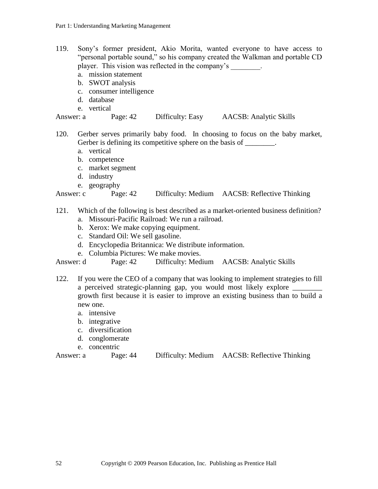- 119. Sony's former president, Akio Morita, wanted everyone to have access to "personal portable sound," so his company created the Walkman and portable CD player. This vision was reflected in the company's \_\_\_\_\_\_\_\_.
	- a. mission statement
	- b. SWOT analysis
	- c. consumer intelligence
	- d. database
	- e. vertical

Answer: a Page: 42 Difficulty: Easy AACSB: Analytic Skills

- 120. Gerber serves primarily baby food. In choosing to focus on the baby market, Gerber is defining its competitive sphere on the basis of \_\_\_\_\_\_\_.
	- a. vertical
	- b. competence
	- c. market segment
	- d. industry
	- e. geography

### Answer: c Page: 42 Difficulty: Medium AACSB: Reflective Thinking

- 121. Which of the following is best described as a market-oriented business definition?
	- a. Missouri-Pacific Railroad: We run a railroad.
	- b. Xerox: We make copying equipment.
	- c. Standard Oil: We sell gasoline.
	- d. Encyclopedia Britannica: We distribute information.
	- e. Columbia Pictures: We make movies.

Answer: d Page: 42 Difficulty: Medium AACSB: Analytic Skills

- 122. If you were the CEO of a company that was looking to implement strategies to fill a perceived strategic-planning gap, you would most likely explore growth first because it is easier to improve an existing business than to build a new one.
	- a. intensive
	- b. integrative
	- c. diversification
	- d. conglomerate
	- e. concentric

```
Answer: a Page: 44 Difficulty: Medium AACSB: Reflective Thinking
```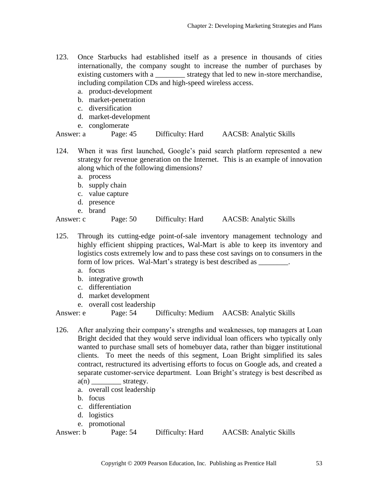- 123. Once Starbucks had established itself as a presence in thousands of cities internationally, the company sought to increase the number of purchases by existing customers with a \_\_\_\_\_\_\_\_ strategy that led to new in-store merchandise, including compilation CDs and high-speed wireless access.
	- a. product-development
	- b. market-penetration
	- c. diversification
	- d. market-development
	- e. conglomerate

Answer: a Page: 45 Difficulty: Hard AACSB: Analytic Skills

- 124. When it was first launched, Google's paid search platform represented a new strategy for revenue generation on the Internet. This is an example of innovation along which of the following dimensions?
	- a. process
	- b. supply chain
	- c. value capture
	- d. presence
	- e. brand

Answer: c Page: 50 Difficulty: Hard AACSB: Analytic Skills

- 125. Through its cutting-edge point-of-sale inventory management technology and highly efficient shipping practices, Wal-Mart is able to keep its inventory and logistics costs extremely low and to pass these cost savings on to consumers in the form of low prices. Wal-Mart's strategy is best described as \_\_\_\_\_\_\_.
	- a. focus
	- b. integrative growth
	- c. differentiation
	- d. market development
	- e. overall cost leadership

Answer: e Page: 54 Difficulty: Medium AACSB: Analytic Skills

- 126. After analyzing their company's strengths and weaknesses, top managers at Loan Bright decided that they would serve individual loan officers who typically only wanted to purchase small sets of homebuyer data, rather than bigger institutional clients. To meet the needs of this segment, Loan Bright simplified its sales contract, restructured its advertising efforts to focus on Google ads, and created a separate customer-service department. Loan Bright's strategy is best described as  $a(n)$  strategy.
	- a. overall cost leadership
	- b. focus
	- c. differentiation
	- d. logistics
	- e. promotional

Answer: b Page: 54 Difficulty: Hard AACSB: Analytic Skills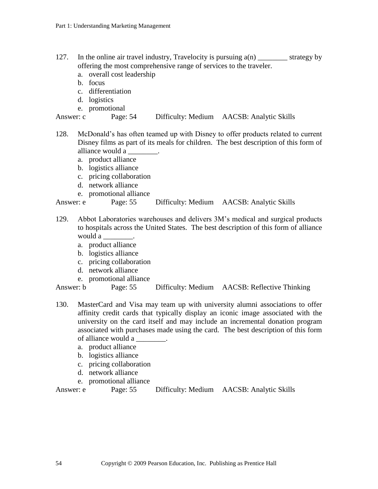- 127. In the online air travel industry, Travelocity is pursuing  $a(n)$  \_\_\_\_\_\_\_\_ strategy by offering the most comprehensive range of services to the traveler.
	- a. overall cost leadership
	- b. focus
	- c. differentiation
	- d. logistics
	- e. promotional

```
Answer: c Page: 54 Difficulty: Medium AACSB: Analytic Skills
```
- 128. McDonald's has often teamed up with Disney to offer products related to current Disney films as part of its meals for children. The best description of this form of alliance would a
	- a. product alliance
	- b. logistics alliance
	- c. pricing collaboration
	- d. network alliance
	- e. promotional alliance

Answer: e Page: 55 Difficulty: Medium AACSB: Analytic Skills

- 129. Abbot Laboratories warehouses and delivers 3M's medical and surgical products to hospitals across the United States. The best description of this form of alliance would a \_\_\_\_\_\_\_\_.
	- a. product alliance
	- b. logistics alliance
	- c. pricing collaboration
	- d. network alliance
	- e. promotional alliance

Answer: b Page: 55 Difficulty: Medium AACSB: Reflective Thinking

- 130. MasterCard and Visa may team up with university alumni associations to offer affinity credit cards that typically display an iconic image associated with the university on the card itself and may include an incremental donation program associated with purchases made using the card. The best description of this form of alliance would a \_\_\_\_\_\_\_\_.
	- a. product alliance
	- b. logistics alliance
	- c. pricing collaboration
	- d. network alliance
	- e. promotional alliance

Answer: e Page: 55 Difficulty: Medium AACSB: Analytic Skills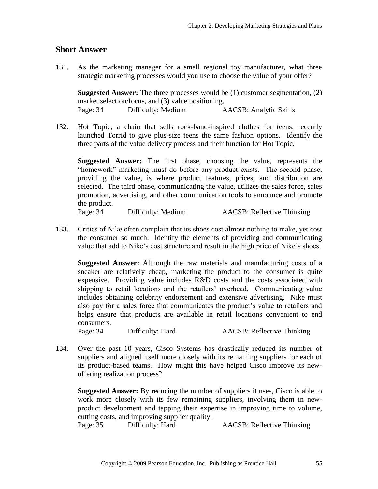### **Short Answer**

131. As the marketing manager for a small regional toy manufacturer, what three strategic marketing processes would you use to choose the value of your offer?

**Suggested Answer:** The three processes would be (1) customer segmentation, (2) market selection/focus, and (3) value positioning. Page: 34 Difficulty: Medium AACSB: Analytic Skills

132. Hot Topic, a chain that sells rock-band-inspired clothes for teens, recently launched Torrid to give plus-size teens the same fashion options. Identify the three parts of the value delivery process and their function for Hot Topic.

**Suggested Answer:** The first phase, choosing the value, represents the "homework" marketing must do before any product exists. The second phase, providing the value, is where product features, prices, and distribution are selected. The third phase, communicating the value, utilizes the sales force, sales promotion, advertising, and other communication tools to announce and promote the product.

Page: 34 Difficulty: Medium AACSB: Reflective Thinking

133. Critics of Nike often complain that its shoes cost almost nothing to make, yet cost the consumer so much. Identify the elements of providing and communicating value that add to Nike's cost structure and result in the high price of Nike's shoes.

**Suggested Answer:** Although the raw materials and manufacturing costs of a sneaker are relatively cheap, marketing the product to the consumer is quite expensive. Providing value includes R&D costs and the costs associated with shipping to retail locations and the retailers' overhead. Communicating value includes obtaining celebrity endorsement and extensive advertising. Nike must also pay for a sales force that communicates the product's value to retailers and helps ensure that products are available in retail locations convenient to end consumers.

Page: 34 Difficulty: Hard AACSB: Reflective Thinking

134. Over the past 10 years, Cisco Systems has drastically reduced its number of suppliers and aligned itself more closely with its remaining suppliers for each of its product-based teams. How might this have helped Cisco improve its newoffering realization process?

**Suggested Answer:** By reducing the number of suppliers it uses, Cisco is able to work more closely with its few remaining suppliers, involving them in newproduct development and tapping their expertise in improving time to volume, cutting costs, and improving supplier quality.

Page: 35 Difficulty: Hard AACSB: Reflective Thinking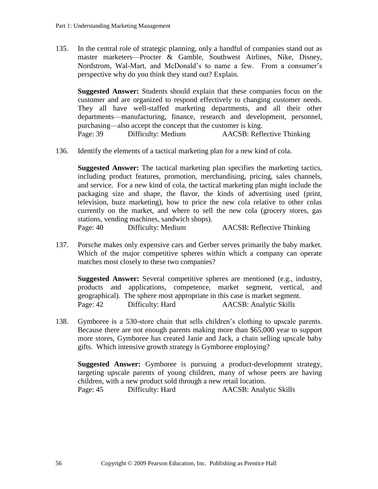135. In the central role of strategic planning, only a handful of companies stand out as master marketers—Procter & Gamble, Southwest Airlines, Nike, Disney, Nordstrom, Wal-Mart, and McDonald's to name a few. From a consumer's perspective why do you think they stand out? Explain.

**Suggested Answer:** Students should explain that these companies focus on the customer and are organized to respond effectively to changing customer needs. They all have well-staffed marketing departments, and all their other departments—manufacturing, finance, research and development, personnel, purchasing—also accept the concept that the customer is king. Page: 39 Difficulty: Medium AACSB: Reflective Thinking

136. Identify the elements of a tactical marketing plan for a new kind of cola.

**Suggested Answer:** The tactical marketing plan specifies the marketing tactics, including product features, promotion, merchandising, pricing, sales channels, and service. For a new kind of cola, the tactical marketing plan might include the packaging size and shape, the flavor, the kinds of advertising used (print, television, buzz marketing), how to price the new cola relative to other colas currently on the market, and where to sell the new cola (grocery stores, gas stations, vending machines, sandwich shops).

- Page: 40 Difficulty: Medium AACSB: Reflective Thinking
- 137. Porsche makes only expensive cars and Gerber serves primarily the baby market. Which of the major competitive spheres within which a company can operate matches most closely to these two companies?

**Suggested Answer:** Several competitive spheres are mentioned (e.g., industry, products and applications, competence, market segment, vertical, and geographical). The sphere most appropriate in this case is market segment. Page: 42 Difficulty: Hard AACSB: Analytic Skills

138. Gymboree is a 530-store chain that sells children's clothing to upscale parents. Because there are not enough parents making more than \$65,000 year to support more stores, Gymboree has created Janie and Jack, a chain selling upscale baby gifts. Which intensive growth strategy is Gymboree employing?

**Suggested Answer:** Gymboree is pursuing a product-development strategy, targeting upscale parents of young children, many of whose peers are having children, with a new product sold through a new retail location. Page: 45 Difficulty: Hard AACSB: Analytic Skills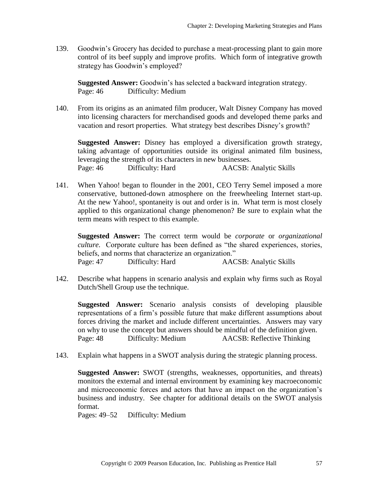139. Goodwin's Grocery has decided to purchase a meat-processing plant to gain more control of its beef supply and improve profits. Which form of integrative growth strategy has Goodwin's employed?

**Suggested Answer:** Goodwin's has selected a backward integration strategy. Page: 46 Difficulty: Medium

140. From its origins as an animated film producer, Walt Disney Company has moved into licensing characters for merchandised goods and developed theme parks and vacation and resort properties. What strategy best describes Disney's growth?

**Suggested Answer:** Disney has employed a diversification growth strategy, taking advantage of opportunities outside its original animated film business, leveraging the strength of its characters in new businesses. Page: 46 Difficulty: Hard AACSB: Analytic Skills

141. When Yahoo! began to flounder in the 2001, CEO Terry Semel imposed a more conservative, buttoned-down atmosphere on the freewheeling Internet start-up. At the new Yahoo!, spontaneity is out and order is in. What term is most closely applied to this organizational change phenomenon? Be sure to explain what the term means with respect to this example.

**Suggested Answer:** The correct term would be *corporate* or *organizational culture.* Corporate culture has been defined as "the shared experiences, stories, beliefs, and norms that characterize an organization." Page: 47 Difficulty: Hard AACSB: Analytic Skills

142. Describe what happens in scenario analysis and explain why firms such as Royal Dutch/Shell Group use the technique.

**Suggested Answer:** Scenario analysis consists of developing plausible representations of a firm's possible future that make different assumptions about forces driving the market and include different uncertainties. Answers may vary on why to use the concept but answers should be mindful of the definition given. Page: 48 Difficulty: Medium AACSB: Reflective Thinking

143. Explain what happens in a SWOT analysis during the strategic planning process.

**Suggested Answer:** SWOT (strengths, weaknesses, opportunities, and threats) monitors the external and internal environment by examining key macroeconomic and microeconomic forces and actors that have an impact on the organization's business and industry. See chapter for additional details on the SWOT analysis format.

Pages: 49–52 Difficulty: Medium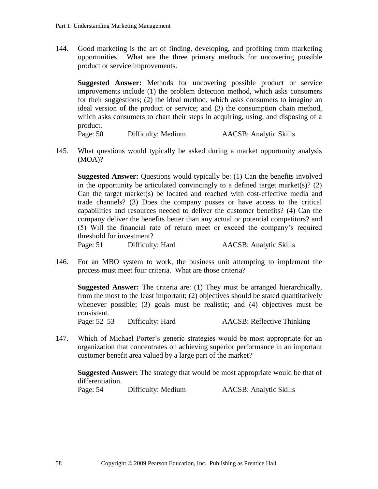144. Good marketing is the art of finding, developing, and profiting from marketing opportunities. What are the three primary methods for uncovering possible product or service improvements.

**Suggested Answer:** Methods for uncovering possible product or service improvements include (1) the problem detection method, which asks consumers for their suggestions; (2) the ideal method, which asks consumers to imagine an ideal version of the product or service; and (3) the consumption chain method, which asks consumers to chart their steps in acquiring, using, and disposing of a product.

Page: 50 Difficulty: Medium AACSB: Analytic Skills

145. What questions would typically be asked during a market opportunity analysis (MOA)?

**Suggested Answer:** Questions would typically be: (1) Can the benefits involved in the opportunity be articulated convincingly to a defined target market(s)? (2) Can the target market(s) be located and reached with cost-effective media and trade channels? (3) Does the company posses or have access to the critical capabilities and resources needed to deliver the customer benefits? (4) Can the company deliver the benefits better than any actual or potential competitors? and (5) Will the financial rate of return meet or exceed the company's required threshold for investment?

Page: 51 Difficulty: Hard AACSB: Analytic Skills

146. For an MBO system to work, the business unit attempting to implement the process must meet four criteria. What are those criteria?

**Suggested Answer:** The criteria are: (1) They must be arranged hierarchically, from the most to the least important; (2) objectives should be stated quantitatively whenever possible; (3) goals must be realistic; and (4) objectives must be consistent.

Page: 52–53 Difficulty: Hard AACSB: Reflective Thinking

147. Which of Michael Porter's generic strategies would be most appropriate for an organization that concentrates on achieving superior performance in an important customer benefit area valued by a large part of the market?

**Suggested Answer:** The strategy that would be most appropriate would be that of differentiation.

Page: 54 Difficulty: Medium AACSB: Analytic Skills